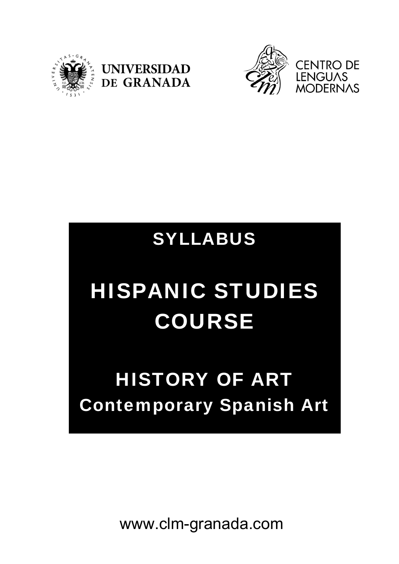





### SYLLABUS

# HISPANIC STUDIES COURSE

## HISTORY OF ART Contemporary Spanish Art

www.clm-granada.com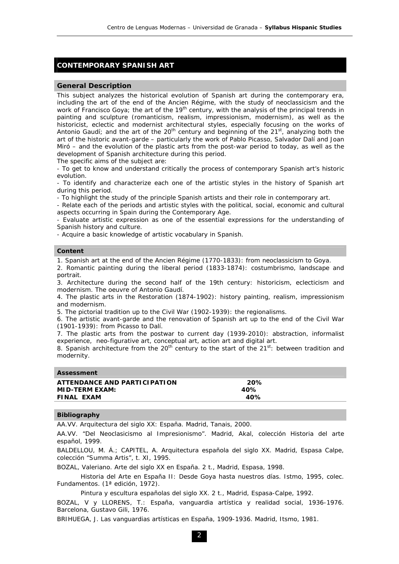#### **CONTEMPORARY SPANISH ART**

#### **General Description**

This subject analyzes the historical evolution of Spanish art during the contemporary era, including the art of the end of the Ancien Régime, with the study of neoclassicism and the work of Francisco Goya; the art of the 19<sup>th</sup> century, with the analysis of the principal trends in painting and sculpture (romanticism, realism, impressionism, modernism), as well as the historicist, eclectic and modernist architectural styles, especially focusing on the works of Antonio Gaudí; and the art of the  $20<sup>th</sup>$  century and beginning of the  $21<sup>st</sup>$ , analyzing both the art of the historic avant-garde – particularly the work of Pablo Picasso, Salvador Dalí and Joan Miró – and the evolution of the plastic arts from the post-war period to today, as well as the development of Spanish architecture during this period. The specific aims of the subject are:

- To get to know and understand critically the process of contemporary Spanish art's historic evolution.

- To identify and characterize each one of the artistic styles in the history of Spanish art during this period.

- To highlight the study of the principle Spanish artists and their role in contemporary art.

- Relate each of the periods and artistic styles with the political, social, economic and cultural aspects occurring in Spain during the Contemporary Age.

- Evaluate artistic expression as one of the essential expressions for the understanding of Spanish history and culture.

- Acquire a basic knowledge of artistic vocabulary in Spanish.

#### **Content**

1. Spanish art at the end of the Ancien Régime (1770-1833): from neoclassicism to Goya.

2. Romantic painting during the liberal period (1833-1874): costumbrismo, landscape and portrait.

3. Architecture during the second half of the 19th century: historicism, eclecticism and modernism. The oeuvre of Antonio Gaudí.

4. The plastic arts in the Restoration (1874-1902): history painting, realism, impressionism and modernism.

5. The pictorial tradition up to the Civil War (1902-1939): the regionalisms.

6. The artistic avant-garde and the renovation of Spanish art up to the end of the Civil War (1901-1939): from Picasso to Dalí.

7. The plastic arts from the postwar to current day (1939-2010): abstraction, informalist experience, neo-figurative art, conceptual art, action art and digital art.

8. Spanish architecture from the 20<sup>th</sup> century to the start of the 21<sup>st</sup>: between tradition and modernity.

| 20% |  |
|-----|--|
| 40% |  |
| 40% |  |
|     |  |

#### **Bibliography**

AA.VV. *Arquitectura del siglo XX: España*. Madrid, Tanais, 2000.

AA.VV. "Del Neoclasicismo al Impresionismo". Madrid, Akal, colección *Historia del arte español*, 1999.

BALDELLOU, M. Á.; CAPITEL, A. *Arquitectura española del siglo XX*. Madrid, Espasa Calpe, colección "Summa Artis", t. XI, 1995.

BOZAL, Valeriano. *Arte del siglo XX en España*. 2 t., Madrid, Espasa, 1998.

*Historia del Arte en España II: Desde Goya hasta nuestros días*. Istmo, 1995, colec. Fundamentos. (1ª edición, 1972).

*Pintura y escultura españolas del siglo XX*. 2 t., Madrid, Espasa-Calpe, 1992.

BOZAL, V y LLORENS, T.: *España, vanguardia artística y realidad social*, 1936-1976. Barcelona, Gustavo Gili, 1976.

BRIHUEGA, J. *Las vanguardias artísticas en España, 1909-1936*. Madrid, Itsmo, 1981.